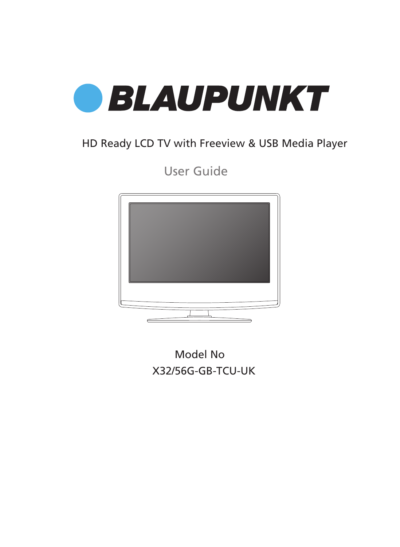

### HD Ready LCD TV with Freeview & USB Media Player

User Guide



X32/56G-GB-TCU-UK Model No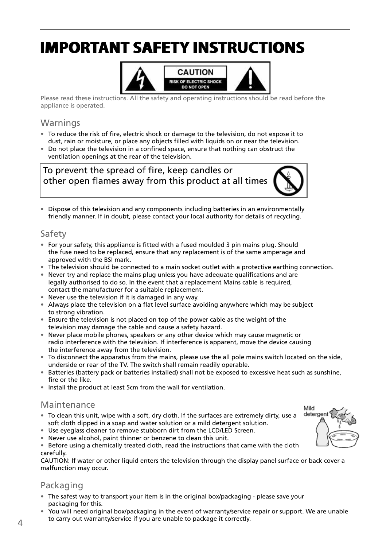# **IMPORTANT SAFETY INSTRUCTIONS IMPORTANT SAFETY INSTRUCTIONS**



Please read these instructions. All the safety and operating instructions should be read before the appliance is operated.

#### Warnings

- To reduce the risk of fire, electric shock or damage to the television, do not expose it to dust, rain or moisture, or place any objects fi lled with liquids on or near the television.
- Do not place the television in a confined space, ensure that nothing can obstruct the ventilation openings at the rear of the television.

To prevent the spread of fire, keep candles or other open flames away from this product at all times



Mild detergent

• Dispose of this television and any components including batteries in an environmentally friendly manner. If in doubt, please contact your local authority for details of recycling.

### Safety

- For your safety, this appliance is fitted with a fused moulded 3 pin mains plug. Should the fuse need to be replaced, ensure that any replacement is of the same amperage and approved with the BSI mark.
- The television should be connected to a main socket outlet with a protective earthing connection.
- Never try and replace the mains plug unless you have adequate qualifications and are legally authorised to do so. In the event that a replacement Mains cable is required, contact the manufacturer for a suitable replacement.
- Never use the television if it is damaged in any way.
- Always place the television on a flat level surface avoiding anywhere which may be subject to strong vibration.
- Ensure the television is not placed on top of the power cable as the weight of the television may damage the cable and cause a safety hazard.
- Never place mobile phones, speakers or any other device which may cause magnetic or radio interference with the television. If interference is apparent, move the device causing the interference away from the television.
- To disconnect the apparatus from the mains, please use the all pole mains switch located on the side, underside or rear of the TV. The switch shall remain readily operable.
- Batteries (battery pack or batteries installed) shall not be exposed to excessive heat such as sunshine, fire or the like.
- Install the product at least 5cm from the wall for ventilation.

### Maintenance

- To clean this unit, wipe with a soft, dry cloth. If the surfaces are extremely dirty, use a soft cloth dipped in a soap and water solution or a mild detergent solution.
- Use eyeglass cleaner to remove stubborn dirt from the LCD/LED Screen.
- Never use alcohol, paint thinner or benzene to clean this unit.

• Before using a chemically treated cloth, read the instructions that came with the cloth carefully.

CAUTION: If water or other liquid enters the television through the display panel surface or back cover a malfunction may occur.

### Packaging

- The safest way to transport your item is in the original box/packaging please save your packaging for this.
- You will need original box/packaging in the event of warranty/service repair or support. We are unable to carry out warranty/service if you are unable to package it correctly.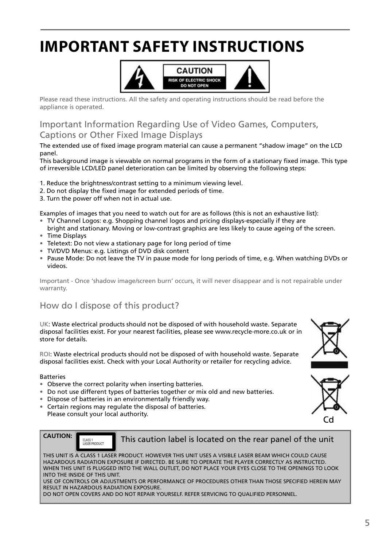# **IMPORTANT SAFETY INSTRUCTIONS**



Please read these instructions. All the safety and operating instructions should be read before the appliance is operated.

### Important Information Regarding Use of Video Games, Computers, Captions or Other Fixed Image Displays

The extended use of fixed image program material can cause a permanent "shadow image" on the LCD panel.

This background image is viewable on normal programs in the form of a stationary fixed image. This type of irreversible LCD/LED panel deterioration can be limited by observing the following steps:

- 1. Reduce the brightness/contrast setting to a minimum viewing level.
- 2. Do not display the fixed image for extended periods of time.
- 3. Turn the power off when not in actual use.

Examples of images that you need to watch out for are as follows (this is not an exhaustive list):

- TV Channel Logos: e.g. Shopping channel logos and pricing displays-especially if they are
- bright and stationary. Moving or low-contrast graphics are less likely to cause ageing of the screen.
- Time Displays
- Teletext: Do not view a stationary page for long period of time
- TV/DVD Menus: e.g. Listings of DVD disk content
- Pause Mode: Do not leave the TV in pause mode for long periods of time, e.g. When watching DVDs or videos.

Important - Once 'shadow image/screen burn' occurs, it will never disappear and is not repairable under warranty.

### How do I dispose of this product?

UK: Waste electrical products should not be disposed of with household waste. Separate disposal facilities exist. For your nearest facilities, please see www.recycle-more.co.uk or in store for details.

ROI: Waste electrical products should not be disposed of with household waste. Separate disposal facilities exist. Check with your Local Authority or retailer for recycling advice.

#### **Batteries**

- Observe the correct polarity when inserting batteries.
- Do not use different types of batteries together or mix old and new batteries.
- Dispose of batteries in an environmentally friendly way.
- Certain regions may regulate the disposal of batteries.
- Please consult your local authority.



This caution label is located on the rear panel of the unit

THIS UNIT IS A CLASS 1 LASER PRODUCT. HOWEVER THIS UNIT USES A VISIBLE LASER BEAM WHICH COULD CAUSE HAZARDOUS RADIATION EXPOSURE IF DIRECTED. BE SURE TO OPERATE THE PLAYER CORRECTLY AS INSTRUCTED. WHEN THIS UNIT IS PLUGGED INTO THE WALL OUTLET, DO NOT PLACE YOUR EYES CLOSE TO THE OPENINGS TO LOOK INTO THE INSIDE OF THIS UNIT.

USE OF CONTROLS OR ADJUSTMENTS OR PERFORMANCE OF PROCEDURES OTHER THAN THOSE SPECIFIED HEREIN MAY RESULT IN HAZARDOUS RADIATION EXPOSURE.

DO NOT OPEN COVERS AND DO NOT REPAIR YOURSELF. REFER SERVICING TO QUALIFIED PERSONNEL.



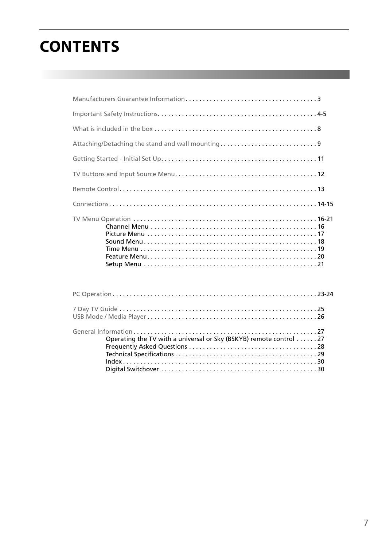# **CONTENTS**

| Operating the TV with a universal or Sky (BSKYB) remote control 27 |  |
|--------------------------------------------------------------------|--|

Digital Switchover . . . . . . . . . . . . . . . . . . . . . . . . . . . . . . . . . . . . . . . . . . . . . 30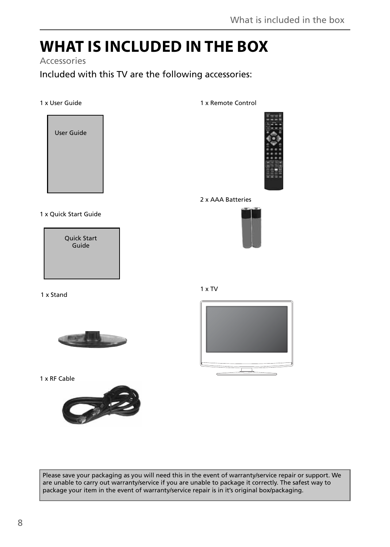### **WHAT IS INCLUDED IN THE BOX**

### Accessories

Included with this TV are the following accessories:

#### 1 x User Guide

User Guide

1 x Remote Control



2 x AAA Batteries



1 x Quick Start Guide

Quick Start Guide

1 x Stand



1 x RF Cable



1 x TV



Please save your packaging as you will need this in the event of warranty/service repair or support. We are unable to carry out warranty/service if you are unable to package it correctly. The safest way to package your item in the event of warranty/service repair is in it's original box/packaging.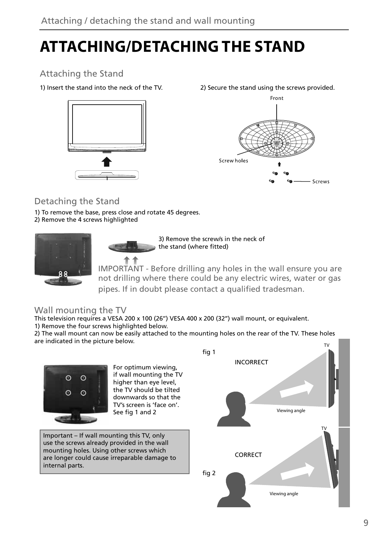# **ATTACHING/DETACHING THE STAND**

### Attaching the Stand



1) Insert the stand into the neck of the TV. 2) Secure the stand using the screws provided.



### Detaching the Stand

- 1) To remove the base, press close and rotate 45 degrees.
- 2) Remove the 4 screws highlighted



3) Remove the screw/s in the neck of the stand (where fitted)

IMPORTANT - Before drilling any holes in the wall ensure you are not drilling where there could be any electric wires, water or gas pipes. If in doubt please contact a qualified tradesman.

### Wall mounting the TV

This television requires a VESA 200 x 100 (26'') VESA 400 x 200 (32'') wall mount, or equivalent. 1) Remove the four screws highlighted below.

2) The wall mount can now be easily attached to the mounting holes on the rear of the TV. These holes are indicated in the picture below. TV

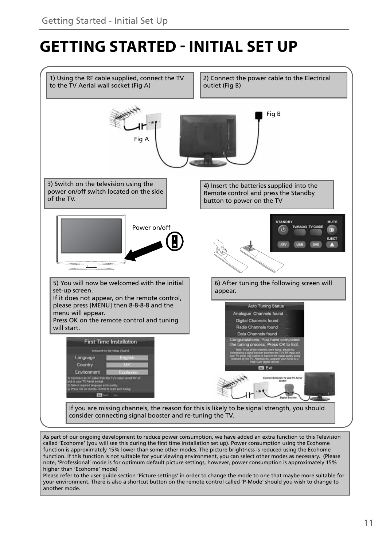### **GETTING STARTED - INITIAL SET UP**



note, 'Professional' mode is for optimum default picture settings, however, power consumption is approximately 15% higher than 'Ecohome' mode) Please refer to the user guide section 'Picture settings' in order to change the mode to one that maybe more suitable for your environment. There is also a shortcut button on the remote control called 'P-Mode' should you wish to change to

another mode.

11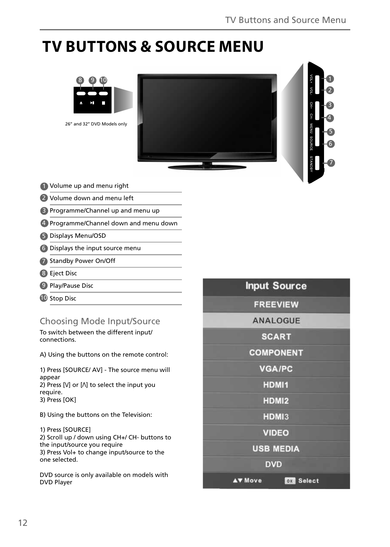5 6

7

### **TV BUTTONS & SOURCE MENU**



- Volume up and menu right 1
- Volume down and menu left 2
- **B** Programme/Channel up and menu up
- Programme/Channel down and menu down 4
- Displays Menu/OSD 5
- Displays the input source menu 6
- Standby Power On/Off 7
- Eject Disc 8
- Play/Pause Disc 9
- **10** Stop Disc

### Choosing Mode Input/Source

To switch between the different input/ connections.

A) Using the buttons on the remote control:

1) Press [SOURCE/ AV] - The source menu will appear 2) Press  $[V]$  or  $[\Lambda]$  to select the input you require. 3) Press [OK]

B) Using the buttons on the Television:

1) Press [SOURCE] 2) Scroll up / down using CH+/ CH- buttons to the input/source you require 3) Press Vol+ to change input/source to the one selected.

DVD source is only available on models with DVD Player

|                | <b>FREEVIEW</b>  |  |
|----------------|------------------|--|
|                | <b>ANALOGUE</b>  |  |
|                | <b>SCART</b>     |  |
|                | <b>COMPONENT</b> |  |
|                | <b>VGA/PC</b>    |  |
|                | HDMI1            |  |
|                | HDMI2            |  |
|                | HDMI3            |  |
|                | <b>VIDEO</b>     |  |
|                | <b>USB MEDIA</b> |  |
|                | <b>DVD</b>       |  |
| <b>AV Move</b> | <b>OX</b> Select |  |

**Input Source**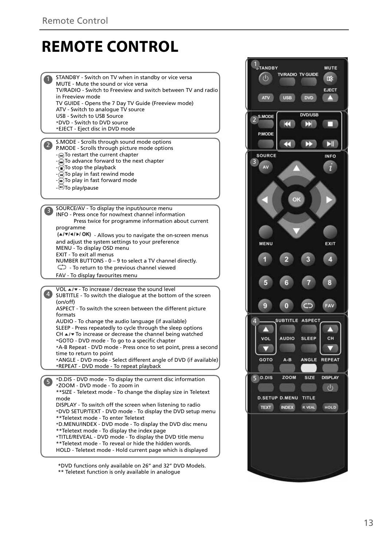### **REMOTE CONTROL**

STANDBY - Switch on TV when in standby or vice versa 1  $\frac{1}{2}$   $\frac{1}{3}$   $\frac{1}{4}$   $\frac{1}{5}$ MUTE - Mute the sound or vice versa TV/RADIO - Switch to Freeview and switch between TV and radio in Freeview mode TV GUIDE - Opens the 7 Day TV Guide (Freeview mode) ATV - Switch to analogue TV source USB - Switch to USB Source \*DVD - Switch to DVD source \*EJECT - Eject disc in DVD mode S.MODE - Scrolls through sound mode options P.MODE - Scrolls through picture mode options - M To restart the current chapter -  $\widetilde{\mathbf{m}}$  To advance forward to the next chanter - To stop the playback - To play in fast rewind mode  $\bigoplus$  To play in fast forward mode - MTo play/pause SOURCE/AV - To display the input/source menu 3 INFO - Press once for now/next channel information Press twice for programme information about current programme  $(A|\mathbf{v}|A|)$  OK) - Allows you to navigate the on-screen menus and adjust the system settings to your preference MENU - To display OSD menu EXIT - To exit all menus NUMBER BUTTONS - 0 – 9 to select a TV channel directly.  $\bigcirc$  - To return to the previous channel viewed FAV - To display favourites menu VOL ▲/▼ - To increase / decrease the sound level  $\bullet$ SUBTITLE - To switch the dialogue at the bottom of the screen (on/off) ASPECT - To switch the screen between the different picture formats AUDIO - To change the audio language (if available) SLEEP - Press repeatedly to cycle through the sleep options  $CH \triangle l$  To increase or decrease the channel being watched \*GOTO - DVD mode - To go to a specific chapter \*A-B Repeat - DVD mode - Press once to set point, press a second time to return to point \*ANGLE - DVD mode - Select different angle of DVD (if available) \*REPEAT - DVD mode - To repeat playback \*D.DIS - DVD mode - To display the current disc information 6 \*ZOOM - DVD mode - To zoom in \*\*SIZE - Teletext mode - To change the display size in Teletext mode DISPLAY - To switch off the screen when listening to radio \*DVD SETUP/TEXT - DVD mode - To display the DVD setup menu \*\*Teletext mode - To enter Teletext \*D.MENU/INDEX - DVD mode - To display the DVD disc menu \*\*Teletext mode - To display the index page \*TITLE/REVEAL - DVD mode - To display the DVD title menu \*\*Teletext mode - To reveal or hide the hidden words. HOLD - Teletext mode - Hold current page which is displayed

\*DVD functions only available on 26'' and 32'' DVD Models.

\*\* Teletext function is only available in analogue

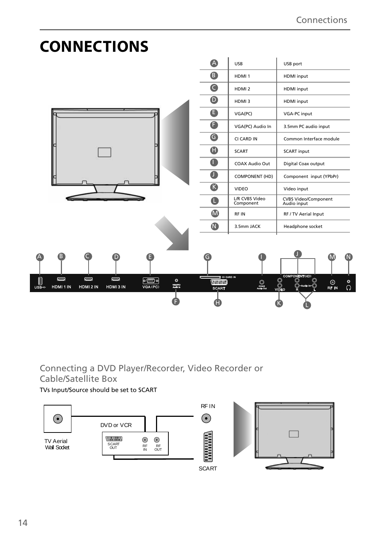

### Connecting a DVD Player/Recorder, Video Recorder or Cable/Satellite Box

TVs Input/Source should be set to SCART

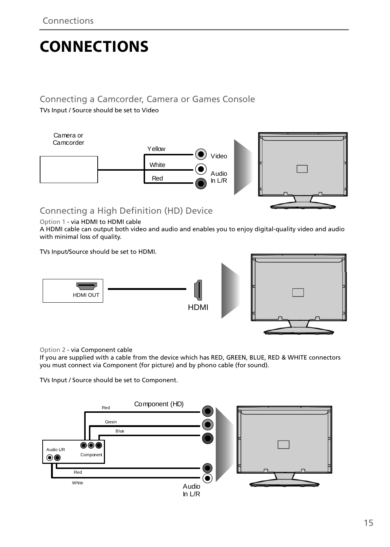# **CONNECTIONS**

### Connecting a Camcorder, Camera or Games Console

TVs Input / Source should be set to Video



### Connecting a High Definition (HD) Device

Option 1 - via HDMI to HDMI cable

A HDMI cable can output both video and audio and enables you to enjoy digital-quality video and audio with minimal loss of quality.

TVs Input/Source should be set to HDMI.



Option 2 - via Component cable

If you are supplied with a cable from the device which has RED, GREEN, BLUE, RED & WHITE connectors you must connect via Component (for picture) and by phono cable (for sound).

TVs Input / Source should be set to Component.

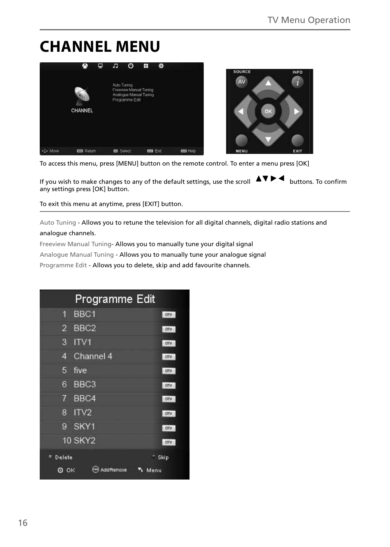# **CHANNEL MENU**



To access this menu, press [MENU] button on the remote control. To enter a menu press [OK]

If you wish to make changes to any of the default settings, use the scroll  $\blacktriangle\blacktriangledown\blacktriangleright\blacktriangleleft$  buttons. To confirm any settings press [OK] button.

To exit this menu at anytime, press [EXIT] button.

Auto Tuning - Allows you to retune the television for all digital channels, digital radio stations and analogue channels.

Freeview Manual Tuning- Allows you to manually tune your digital signal

Analogue Manual Tuning - Allows you to manually tune your analogue signal

Programme Edit - Allows you to delete, skip and add favourite channels.

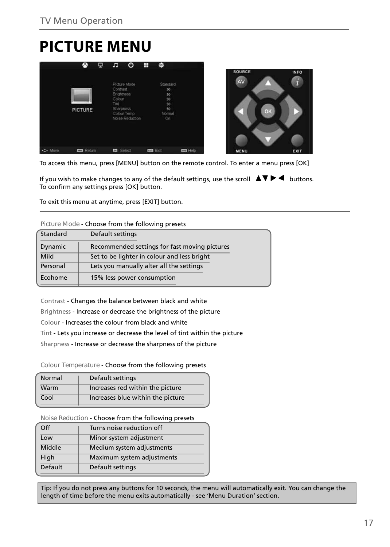# **PICTURE MENU**

|         | œ                | ▭ | л                                                            | O                                              | Ŧ | 弊                                                       |                 |                     |    |                                   |
|---------|------------------|---|--------------------------------------------------------------|------------------------------------------------|---|---------------------------------------------------------|-----------------|---------------------|----|-----------------------------------|
|         | <b>PICTURE</b>   |   | Contrast<br><b>Brightness</b><br>Colour<br>Tint<br>Sharpness | Picture Mode<br>Colour Temp<br>Noise Reduction |   | Standard<br>50<br>50<br>50<br>50<br>50<br>Normal<br>On. |                 | <b>SOURCE</b><br>AV | OK | <b>INFO</b><br>$\overline{\bf n}$ |
| <> Move | <b>CO</b> Return |   | <b>CO</b>                                                    | Select                                         |   | <b>mm</b> Exit                                          | <b>EXI</b> Help | MENU                |    | EXIT                              |

To access this menu, press [MENU] button on the remote control. To enter a menu press [OK]

If you wish to make changes to any of the default settings, use the scroll  $\Box \blacktriangledown \blacktriangleright \blacktriangleleft$  buttons. To confirm any settings press [OK] button.

To exit this menu at anytime, press [EXIT] button.

#### **Picture Mode** - Choose from the following presets

| Standard | Default settings                              |
|----------|-----------------------------------------------|
| Dynamic  | Recommended settings for fast moving pictures |
| Mild     | Set to be lighter in colour and less bright   |
| Personal | Lets you manually alter all the settings      |
| Ecohome  | 15% less power consumption                    |
|          |                                               |

Contrast - Changes the balance between black and white Brightness - Increase or decrease the brightness of the picture Colour - Increases the colour from black and white Tint - Lets you increase or decrease the level of tint within the picture Sharpness - Increase or decrease the sharpness of the picture

**Colour Temperature** - Choose from the following presets

| Normal | Default settings                  |
|--------|-----------------------------------|
| Warm   | Increases red within the picture  |
| Cool   | Increases blue within the picture |

**Noise Reduction** - Choose from the following presets

| Off            | Turns noise reduction off  |
|----------------|----------------------------|
| Low            | Minor system adjustment    |
| Middle         | Medium system adjustments  |
| High           | Maximum system adjustments |
| <b>Default</b> | Default settings           |
|                |                            |

Tip: If you do not press any buttons for 10 seconds, the menu will automatically exit. You can change the length of time before the menu exits automatically - see 'Menu Duration' section.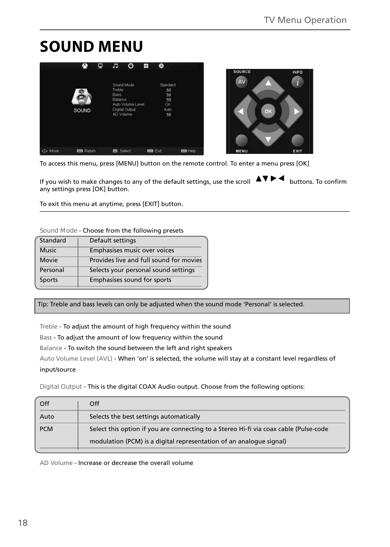# **SOUND MENU**

|         |                   | ₽ | h                                             | O                                                 | Ŧ | ۰                                              |                 | <b>SOURCE</b> |
|---------|-------------------|---|-----------------------------------------------|---------------------------------------------------|---|------------------------------------------------|-----------------|---------------|
|         | <b>SOUND</b>      |   | <b>Treble</b><br>Bass<br>Balance<br>AD Volume | Sound Mode<br>Auto Volume Level<br>Digital Output |   | Standard<br>50<br>50<br>50<br>On<br>Auto<br>50 |                 | AV            |
| -C Move | <b>EED</b> Return |   | <b>Ed</b> Select                              |                                                   |   | <b>Ema</b> Exit                                | <b>Bas</b> Help | MENU          |

To access this menu, press [MENU] button on the remote control. To enter a menu press [OK]

If you wish to make changes to any of the default settings, use the scroll  $\blacktriangle\blacktriangledown\blacktriangleright\blacktriangleleft$  buttons. To confirm any settings press [OK] button.

To exit this menu at anytime, press [EXIT] button.

#### **Sound Mode** - Choose from the following presets

| Standard     | Default settings                        |
|--------------|-----------------------------------------|
| <b>Music</b> | Emphasises music over voices            |
| Movie        | Provides live and full sound for movies |
| Personal     | Selects your personal sound settings    |
| Sports       | Emphasises sound for sports             |

Tip: Treble and bass levels can only be adjusted when the sound mode 'Personal' is selected.

Treble - To adjust the amount of high frequency within the sound

Bass - To adjust the amount of low frequency within the sound

Balance - To switch the sound between the left and right speakers

Auto Volume Level (AVL) - When 'on' is selected, the volume will stay at a constant level regardless of input/source

**Digital Output** - This is the digital COAX Audio output. Choose from the following options:

| Off        | Off                                                                                                                                                          |
|------------|--------------------------------------------------------------------------------------------------------------------------------------------------------------|
| Auto       | Selects the best settings automatically                                                                                                                      |
| <b>PCM</b> | Select this option if you are connecting to a Stereo Hi-fi via coax cable (Pulse-code<br>modulation (PCM) is a digital representation of an analogue signal) |

AD Volume - Increase or decrease the overall volume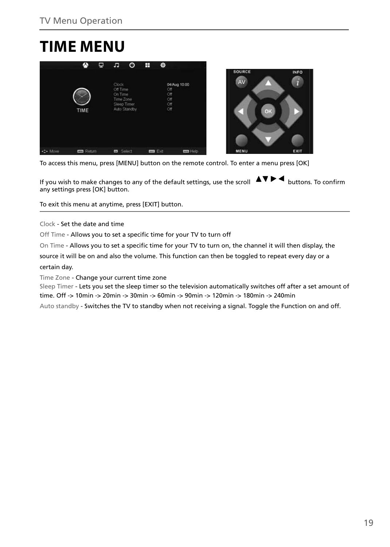# **TIME MENU**



To access this menu, press [MENU] button on the remote control. To enter a menu press [OK]

If you wish to make changes to any of the default settings, use the scroll  $\blacktriangle V \blacktriangleright \blacktriangleleft$  buttons. To confirm any settings press [OK] button.

To exit this menu at anytime, press [EXIT] button.

Clock - Set the date and time

Off Time - Allows you to set a specific time for your TV to turn off

On Time - Allows you to set a specific time for your TV to turn on, the channel it will then display, the

source it will be on and also the volume. This function can then be toggled to repeat every day or a certain day.

Time Zone - Change your current time zone

Sleep Timer - Lets you set the sleep timer so the television automatically switches off after a set amount of time. Off -> 10min -> 20min -> 30min -> 60min -> 90min -> 120min -> 180min -> 240min

Auto standby - Switches the TV to standby when not receiving a signal. Toggle the Function on and off.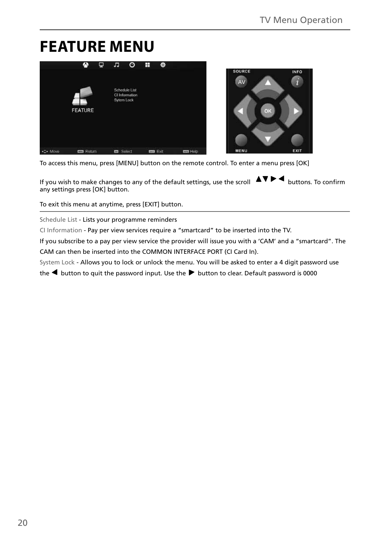### **FEATURE MENU**



To access this menu, press [MENU] button on the remote control. To enter a menu press [OK]

If you wish to make changes to any of the default settings, use the scroll  $\blacktriangle V \blacktriangleright \blacktriangleleft$  buttons. To confirm any settings press [OK] button.

To exit this menu at anytime, press [EXIT] button.

Schedule List - Lists your programme reminders

CI Information - Pay per view services require a "smartcard" to be inserted into the TV.

If you subscribe to a pay per view service the provider will issue you with a 'CAM' and a "smartcard". The CAM can then be inserted into the COMMON INTERFACE PORT (CI Card In).

System Lock - Allows you to lock or unlock the menu. You will be asked to enter a 4 digit password use

the  $\blacktriangleleft$  button to quit the password input. Use the  $\blacktriangleright$  button to clear. Default password is 0000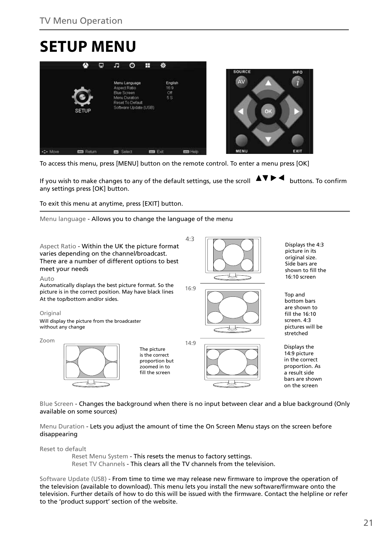# **SETUP MENU**



To access this menu, press [MENU] button on the remote control. To enter a menu press [OK]

If you wish to make changes to any of the default settings, use the scroll  $\Box \Box \Box$  buttons. To confirm any settings press [OK] button.

To exit this menu at anytime, press [EXIT] button.

Menu language - Allows you to change the language of the menu



Blue Screen - Changes the background when there is no input between clear and a blue background (Only available on some sources)

Menu Duration - Lets you adjust the amount of time the On Screen Menu stays on the screen before disappearing

Reset to default

Reset Menu System - This resets the menus to factory settings. Reset TV Channels - This clears all the TV channels from the television.

Software Update (USB) - From time to time we may release new firmware to improve the operation of the television (available to download). This menu lets you install the new software/firmware onto the television. Further details of how to do this will be issued with the firmware. Contact the helpline or refer to the 'product support' section of the website.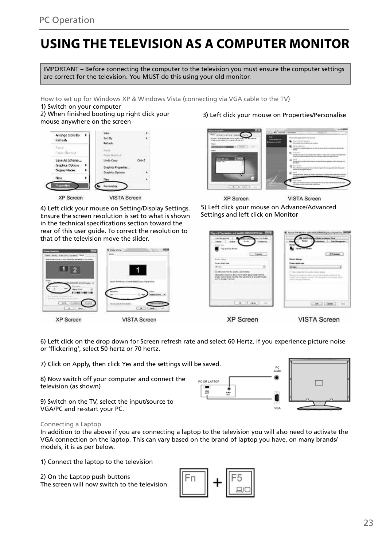23

**VISTA Screen** 

**Cities** 

**XP Screen** 

or 'flickering', select 50 hertz or 70 hertz.

8) Now switch off your computer and connect the television (as shown)

9) Switch on the TV, select the input/source to VGA/PC and re-start your PC.

#### Connecting a Laptop

In addition to the above if you are connecting a laptop to the television you will also need to activate the VGA connection on the laptop. This can vary based on the brand of laptop you have, on many brands/ models, it is as per below.

1) Connect the laptop to the television

2) On the Laptop push buttons The screen will now switch to the television.

# **USING THE TELEVISION AS A COMPUTER MONITOR**

IMPORTANT – Before connecting the computer to the television you must ensure the computer settings are correct for the television. You MUST do this using your old monitor.

How to set up for Windows XP & Windows Vista (connecting via VGA cable to the TV)

1) Switch on your computer

Arrange (considiv

Refresh

医圆  $\overline{2}$ 

2) When finished booting up right click your mouse anywhere on the screen

See By

Refrect Raile Paine **Rache Marchine** Save As Scheme... **Unde Copy**  $\alpha + 2$ Godes Orlins **Granbini Present** Display Mode Graphics Ontic Personalize **XP Screen** VISTA Screen 4) Left click your mouse on Setting/Display Settings.

Ensure the screen resolution is set to what is shown in the technical specifications section toward the rear of this user guide. To correct the resolution to that of the television move the slider.

**XP Screen VISTA Screen** 6) Left click on the drop down for Screen refresh rate and select 60 Hertz, if you experience picture noise

7) Click on Apply, then click Yes and the settings will be saved.

PC OR LAPTOR



VOA

### 3) Left click your mouse on Properties/Personalise



5) Left click your mouse on Advance/Advanced

Settings and left click on Monitor



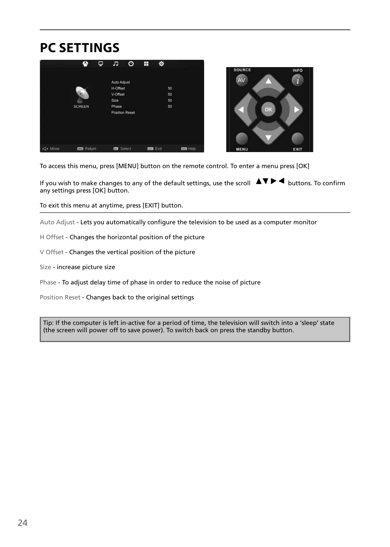### **PC SETTINGS**





To access this menu, press [MENU] button on the remote control. To enter a menu press [OK]

If you wish to make changes to any of the default settings, use the scroll  $\blacktriangle\blacktriangledown\blacktriangleright\blacktriangleleft$  buttons. To confirm any settings press [OK] button.

To exit this menu at anytime, press [EXIT] button.

Auto Adjust - Lets you automatically configure the television to be used as a computer monitor

- H Offset Changes the horizontal position of the picture
- V Offset Changes the vertical position of the picture
- Size increase picture size

Phase - To adjust delay time of phase in order to reduce the noise of picture

Position Reset - Changes back to the original settings

Tip: If the computer is left in-active for a period of time, the television will switch into a 'sleep' state (the screen will power off to save power). To switch back on press the standby button.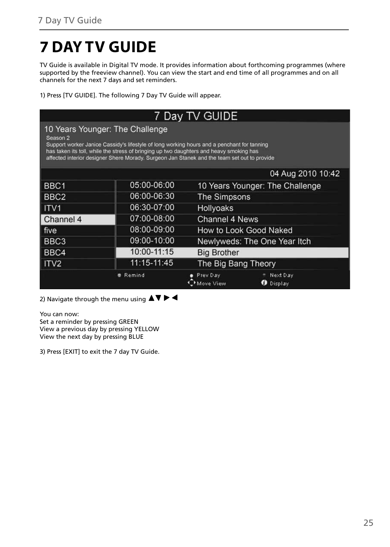# **7 DAY TV GUIDE**

TV Guide is available in Digital TV mode. It provides information about forthcoming programmes (where supported by the freeview channel). You can view the start and end time of all programmes and on all channels for the next 7 days and set reminders.

1) Press [TV GUIDE]. The following 7 Day TV Guide will appear.

| 7 Day TV GUIDE                                                                                                                                                                                                                                                                                                                                 |                   |                       |                                 |  |  |  |  |  |  |  |
|------------------------------------------------------------------------------------------------------------------------------------------------------------------------------------------------------------------------------------------------------------------------------------------------------------------------------------------------|-------------------|-----------------------|---------------------------------|--|--|--|--|--|--|--|
| 10 Years Younger: The Challenge<br>Season <sub>2</sub><br>Support worker Janice Cassidy's lifestyle of long working hours and a penchant for tanning<br>has taken its toll, while the stress of bringing up two daughters and heavy smoking has<br>affected interior designer Shere Morady. Surgeon Jan Stanek and the team set out to provide |                   |                       |                                 |  |  |  |  |  |  |  |
|                                                                                                                                                                                                                                                                                                                                                | 04 Aug 2010 10:42 |                       |                                 |  |  |  |  |  |  |  |
| BBC1                                                                                                                                                                                                                                                                                                                                           | 05:00-06:00       |                       | 10 Years Younger: The Challenge |  |  |  |  |  |  |  |
| BBC <sub>2</sub>                                                                                                                                                                                                                                                                                                                               | 06:00-06:30       | The Simpsons          |                                 |  |  |  |  |  |  |  |
| $ $ ITV1                                                                                                                                                                                                                                                                                                                                       | 06:30-07:00       | <b>Hollyoaks</b>      |                                 |  |  |  |  |  |  |  |
| Channel 4                                                                                                                                                                                                                                                                                                                                      | 07:00-08:00       | <b>Channel 4 News</b> |                                 |  |  |  |  |  |  |  |
| l five                                                                                                                                                                                                                                                                                                                                         | 08:00-09:00       |                       | How to Look Good Naked          |  |  |  |  |  |  |  |
| BBC3                                                                                                                                                                                                                                                                                                                                           | 09:00-10:00       |                       | Newlyweds: The One Year Itch    |  |  |  |  |  |  |  |
| BBC4                                                                                                                                                                                                                                                                                                                                           | 10:00-11:15       | <b>Big Brother</b>    |                                 |  |  |  |  |  |  |  |
| ITV <sub>2</sub>                                                                                                                                                                                                                                                                                                                               | 11:15-11:45       | The Big Bang Theory   |                                 |  |  |  |  |  |  |  |
|                                                                                                                                                                                                                                                                                                                                                | <b>Remind</b>     | Prev Dav<br>Move View | Next Day<br><b>O</b> Display    |  |  |  |  |  |  |  |

2) Navigate through the menu using  $\blacktriangle \blacktriangledown \blacktriangleright \blacktriangleleft$ 

You can now: Set a reminder by pressing GREEN View a previous day by pressing YELLOW View the next day by pressing BLUE

3) Press [EXIT] to exit the 7 day TV Guide.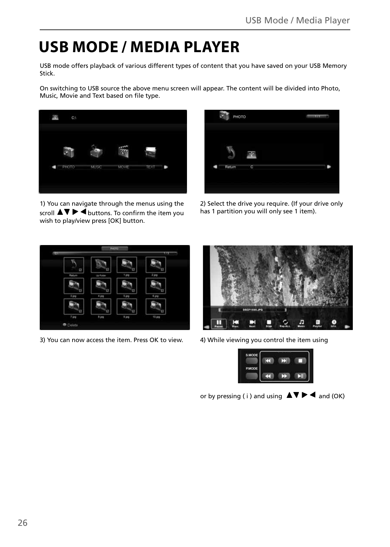# **USB MODE / MEDIA PLAYER**

USB mode offers playback of various different types of content that you have saved on your USB Memory Stick.

On switching to USB source the above menu screen will appear. The content will be divided into Photo, Music, Movie and Text based on file type.



1) You can navigate through the menus using the scroll  $\blacktriangle \blacktriangledown \blacktriangleright \blacktriangleleft$  buttons. To confirm the item you wish to play/view press [OK] button.



2) Select the drive you require. (If your drive only has 1 partition you will only see 1 item).



3) You can now access the item. Press OK to view. 4) While viewing you control the item using





or by pressing ( i ) and using  $\triangle \blacktriangledown \blacktriangleright \blacktriangleleft$  and (OK)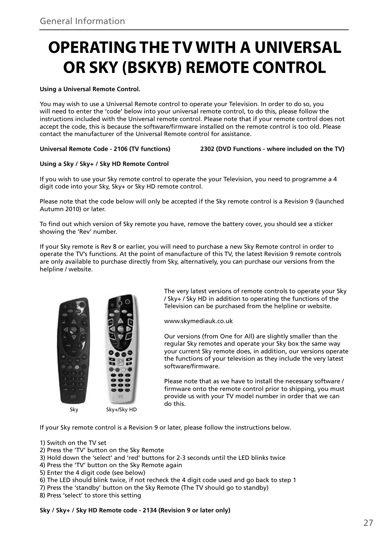# **OPERATING THE TV WITH A UNIVERSAL OR SKY (BSKYB) REMOTE CONTROL**

#### **Using a Universal Remote Control.**

You may wish to use a Universal Remote control to operate your Television. In order to do so, you will need to enter the 'code' below into your universal remote control, to do this, please follow the instructions included with the Universal remote control. Please note that if your remote control does not accept the code, this is because the software/firmware installed on the remote control is too old. Please contact the manufacturer of the Universal Remote control for assistance.

#### **Universal Remote Code - 2106 (TV functions) 2302 (DVD Functions - where included on the TV)**

#### **Using a Sky / Sky+ / Sky HD Remote Control**

If you wish to use your Sky remote control to operate the your Television, you need to programme a 4 digit code into your Sky, Sky+ or Sky HD remote control.

Please note that the code below will only be accepted if the Sky remote control is a Revision 9 (launched Autumn 2010) or later.

To find out which version of Sky remote you have, remove the battery cover, you should see a sticker showing the 'Rev' number.

If your Sky remote is Rev 8 or earlier, you will need to purchase a new Sky Remote control in order to operate the TV's functions. At the point of manufacture of this TV, the latest Revision 9 remote controls are only available to purchase directly from Sky, alternatively, you can purchase our versions from the helpline / website.



The very latest versions of remote controls to operate your Sky / Sky+ / Sky HD in addition to operating the functions of the Television can be purchased from the helpline or website.

www.skymediauk.co.uk

Our versions (from One for All) are slightly smaller than the regular Sky remotes and operate your Sky box the same way your current Sky remote does, in addition, our versions operate the functions of your television as they include the very latest software/firmware.

Please note that as we have to install the necessary software / firmware onto the remote control prior to shipping, you must provide us with your TV model number in order that we can do this.

If your Sky remote control is a Revision 9 or later, please follow the instructions below.

1) Switch on the TV set

- 2) Press the 'TV' button on the Sky Remote
- 3) Hold down the 'select' and 'red' buttons for 2-3 seconds until the LED blinks twice
- 4) Press the 'TV' button on the Sky Remote again
- 5) Enter the 4 digit code (see below)
- 6) The LED should blink twice, if not recheck the 4 digit code used and go back to step 1
- 7) Press the 'standby' button on the Sky Remote (The TV should go to standby)
- 8) Press 'select' to store this setting

**Sky / Sky+ / Sky HD Remote code - 2134 (Revision 9 or later only)**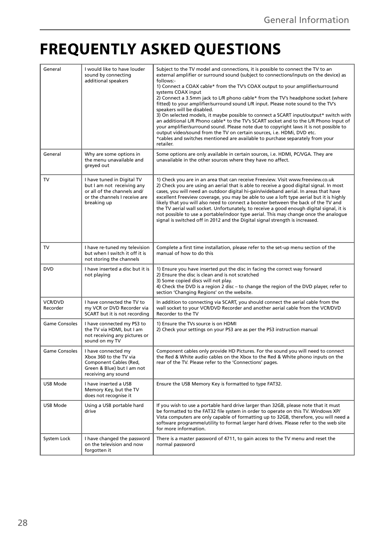# **FREQUENTLY ASKED QUESTIONS**

| General                    | I would like to have louder<br>sound by connecting<br>additional speakers                                                               | Subject to the TV model and connections, it is possible to connect the TV to an<br>external amplifier or surround sound (subject to connections/inputs on the device) as<br>follows:-<br>1) Connect a COAX cable* from the TV's COAX output to your amplifier/surround<br>systems COAX input<br>2) Connect a 3.5mm jack to L/R phono cable* from the TV's headphone socket (where<br>fitted) to your amplifier/surround sound L/R input. Please note sound to the TV's<br>speakers will be disabled.<br>3) On selected models, it maybe possible to connect a SCART input/output* switch with<br>an additional L/R Phono cable* to the TV's SCART socket and to the L/R Phono Input of<br>your amplifier/surround sound. Please note due to copyright laws it is not possible to<br>output video/sound from the TV on certain sources, i.e. HDMi, DVD etc.<br>*cables and switches mentioned are available to purchase separately from your<br>retailer. |
|----------------------------|-----------------------------------------------------------------------------------------------------------------------------------------|----------------------------------------------------------------------------------------------------------------------------------------------------------------------------------------------------------------------------------------------------------------------------------------------------------------------------------------------------------------------------------------------------------------------------------------------------------------------------------------------------------------------------------------------------------------------------------------------------------------------------------------------------------------------------------------------------------------------------------------------------------------------------------------------------------------------------------------------------------------------------------------------------------------------------------------------------------|
| General                    | Why are some options in<br>the menu unavailable and<br>greyed out                                                                       | Some options are only available in certain sources, i.e. HDMI, PC/VGA. They are<br>unavailable in the other sources where they have no affect.                                                                                                                                                                                                                                                                                                                                                                                                                                                                                                                                                                                                                                                                                                                                                                                                           |
| TV                         | I have tuned in Digital TV<br>but I am not receiving any<br>or all of the channels and/<br>or the channels I receive are<br>breaking up | 1) Check you are in an area that can receive Freeview. Visit www.freeview.co.uk<br>2) Check you are using an aerial that is able to receive a good digital signal. In most<br>cases, you will need an outdoor digital hi-gain/wideband aerial. In areas that have<br>excellent Freeview coverage, you may be able to use a loft type aerial but it is highly<br>likely that you will also need to connect a booster between the back of the TV and<br>the TV aerial wall socket. Unfortunately, to receive a good enough digital signal, it is<br>not possible to use a portable/indoor type aerial. This may change once the analogue<br>signal is switched off in 2012 and the Digital signal strength is increased.                                                                                                                                                                                                                                   |
| TV                         | I have re-tuned my television<br>but when I switch it off it is<br>not storing the channels                                             | Complete a first time installation, please refer to the set-up menu section of the<br>manual of how to do this                                                                                                                                                                                                                                                                                                                                                                                                                                                                                                                                                                                                                                                                                                                                                                                                                                           |
| <b>DVD</b>                 | I have inserted a disc but it is<br>not playing                                                                                         | 1) Ensure you have inserted put the disc in facing the correct way forward<br>2) Ensure the disc is clean and is not scratched<br>3) Some copied discs will not play.<br>4) Check the DVD is a region 2 disc - to change the region of the DVD player, refer to<br>section 'Changing Regions' on the website.                                                                                                                                                                                                                                                                                                                                                                                                                                                                                                                                                                                                                                            |
| <b>VCR/DVD</b><br>Recorder | I have connected the TV to<br>my VCR or DVD Recorder via<br>SCART but it is not recording                                               | In addition to connecting via SCART, you should connect the aerial cable from the<br>wall socket to your VCR/DVD Recorder and another aerial cable from the VCR/DVD<br>Recorder to the TV                                                                                                                                                                                                                                                                                                                                                                                                                                                                                                                                                                                                                                                                                                                                                                |
| <b>Game Consoles</b>       | I have connected my PS3 to<br>the TV via HDMI, but I am<br>not receiving any pictures or<br>sound on my TV                              | 1) Ensure the TVs source is on HDMI<br>2) Check your settings on your PS3 are as per the PS3 instruction manual                                                                                                                                                                                                                                                                                                                                                                                                                                                                                                                                                                                                                                                                                                                                                                                                                                          |
| <b>Game Consoles</b>       | I have connected my<br>Xbox 360 to the TV via<br>Component Cables (Red.<br>Green & Blue) but I am not<br>receiving any sound            | Component cables only provide HD Pictures. For the sound you will need to connect<br>the Red & White audio cables on the Xbox to the Red & White phono inputs on the<br>rear of the TV. Please refer to the 'Connections' pages.                                                                                                                                                                                                                                                                                                                                                                                                                                                                                                                                                                                                                                                                                                                         |
| USB Mode                   | I have inserted a USB<br>Memory Key, but the TV<br>does not recognise it                                                                | Ensure the USB Memory Key is formatted to type FAT32.                                                                                                                                                                                                                                                                                                                                                                                                                                                                                                                                                                                                                                                                                                                                                                                                                                                                                                    |
| USB Mode                   | Using a USB portable hard<br>drive                                                                                                      | If you wish to use a portable hard drive larger than 32GB, please note that it must<br>be formatted to the FAT32 file system in order to operate on this TV. Windows XP/<br>Vista computers are only capable of formatting up to 32GB, therefore, you will need a<br>software programme/utility to format larger hard drives. Please refer to the web site<br>for more information.                                                                                                                                                                                                                                                                                                                                                                                                                                                                                                                                                                      |
| System Lock                | I have changed the password<br>on the television and now<br>forgotten it                                                                | There is a master password of 4711, to gain access to the TV menu and reset the<br>normal password                                                                                                                                                                                                                                                                                                                                                                                                                                                                                                                                                                                                                                                                                                                                                                                                                                                       |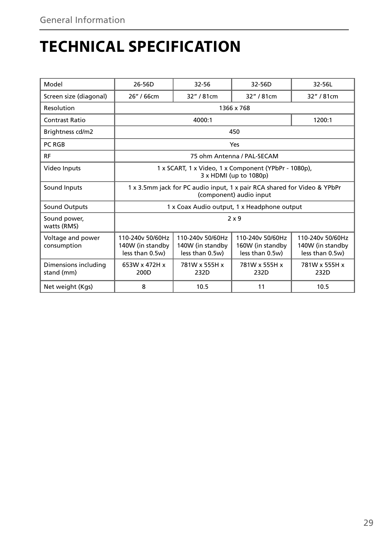# **TECHNICAL SPECIFICATION**

| Model                              | 26-56D                                                                                              | $32 - 56$                                                                      | 32-56D                                                  | 32-56L                                                  |  |  |
|------------------------------------|-----------------------------------------------------------------------------------------------------|--------------------------------------------------------------------------------|---------------------------------------------------------|---------------------------------------------------------|--|--|
| Screen size (diagonal)             | 26" / 66cm                                                                                          | 32" / 81cm                                                                     | 32" / 81cm                                              | 32" / 81cm                                              |  |  |
|                                    |                                                                                                     |                                                                                |                                                         |                                                         |  |  |
| Resolution                         |                                                                                                     |                                                                                | 1366 x 768                                              |                                                         |  |  |
| Contrast Ratio                     |                                                                                                     | 4000:1                                                                         |                                                         | 1200:1                                                  |  |  |
| Brightness cd/m2                   |                                                                                                     |                                                                                | 450                                                     |                                                         |  |  |
| PC RGB                             |                                                                                                     |                                                                                | Yes                                                     |                                                         |  |  |
| <b>RF</b>                          |                                                                                                     |                                                                                | 75 ohm Antenna / PAL-SECAM                              |                                                         |  |  |
| Video Inputs                       |                                                                                                     | 1 x SCART, 1 x Video, 1 x Component (YPbPr - 1080p),<br>3 x HDMI (up to 1080p) |                                                         |                                                         |  |  |
| Sound Inputs                       | 1 x 3.5mm jack for PC audio input, 1 x pair RCA shared for Video & YPbPr<br>(component) audio input |                                                                                |                                                         |                                                         |  |  |
| <b>Sound Outputs</b>               |                                                                                                     |                                                                                | 1 x Coax Audio output, 1 x Headphone output             |                                                         |  |  |
| Sound power,<br>watts (RMS)        | 2x9                                                                                                 |                                                                                |                                                         |                                                         |  |  |
| Voltage and power<br>consumption   | 110-240v 50/60Hz<br>140W (in standby<br>less than 0.5w)                                             | 110-240y 50/60Hz<br>140W (in standby<br>less than 0.5w)                        | 110-240y 50/60Hz<br>160W (in standby<br>less than 0.5w) | 110-240y 50/60Hz<br>140W (in standby<br>less than 0.5w) |  |  |
| Dimensions including<br>stand (mm) | 653W x 472H x<br>200D                                                                               | 781W x 555H x<br>232D                                                          | 781W x 555H x<br>232D                                   | 781W x 555H x<br>232D                                   |  |  |
| Net weight (Kgs)                   | 8                                                                                                   | 10.5                                                                           | 11                                                      | 10.5                                                    |  |  |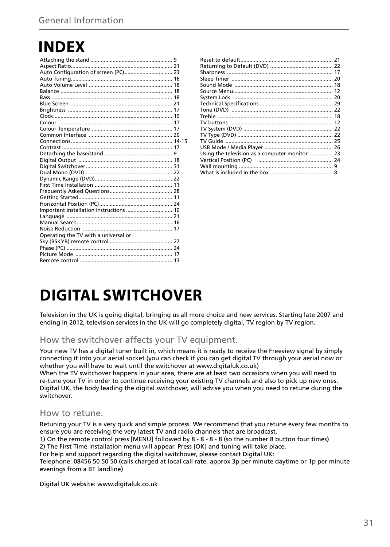# **INDEX**

| Auto Configuration of screen (PC) 23    |  |
|-----------------------------------------|--|
|                                         |  |
|                                         |  |
|                                         |  |
|                                         |  |
|                                         |  |
|                                         |  |
|                                         |  |
|                                         |  |
|                                         |  |
|                                         |  |
|                                         |  |
|                                         |  |
|                                         |  |
|                                         |  |
|                                         |  |
|                                         |  |
|                                         |  |
|                                         |  |
|                                         |  |
|                                         |  |
|                                         |  |
| Important installation instructions  10 |  |
|                                         |  |
|                                         |  |
|                                         |  |
| Operating the TV with a universal or    |  |
|                                         |  |
|                                         |  |
|                                         |  |
|                                         |  |

| Using the television as a computer monitor  23 |  |
|------------------------------------------------|--|
|                                                |  |
|                                                |  |
|                                                |  |
|                                                |  |

### **DIGITAL SWITCHOVER**

Television in the UK is going digital, bringing us all more choice and new services. Starting late 2007 and ending in 2012, television services in the UK will go completely digital, TV region by TV region.

### How the switchover affects your TV equipment.

Your new TV has a digital tuner built in, which means it is ready to receive the Freeview signal by simply connecting it into your aerial socket (you can check if you can get digital TV through your aerial now or whether you will have to wait until the switchover at www.digitaluk.co.uk)

When the TV switchover happens in your area, there are at least two occasions when you will need to re-tune your TV in order to continue receiving your existing TV channels and also to pick up new ones. Digital UK, the body leading the digital switchover, will advise you when you need to retune during the switchover.

#### How to retune.

Retuning your TV is a very quick and simple process. We recommend that you retune every few months to ensure you are receiving the very latest TV and radio channels that are broadcast.

1) On the remote control press [MENU] followed by 8 - 8 - 8 - 8 (so the number 8 button four times) 2) The First Time Installation menu will appear. Press [OK] and tuning will take place.

For help and support regarding the digital switchover, please contact Digital UK:

Telephone: 08456 50 50 50 (calls charged at local call rate, approx 3p per minute daytime or 1p per minute evenings from a BT landline)

Digital UK website: www.digitaluk.co.uk